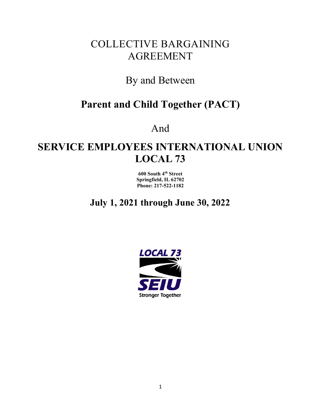# COLLECTIVE BARGAINING AGREEMENT

# By and Between

# **Parent and Child Together (PACT)**

And

# **SERVICE EMPLOYEES INTERNATIONAL UNION LOCAL 73**

**600 South 4th Street Springfield, IL 62702 Phone: 217-522-1182**

**July 1, 2021 through June 30, 2022**

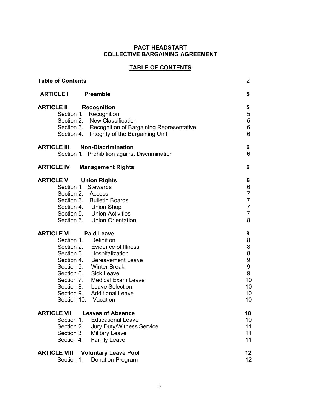# **PACT HEADSTART COLLECTIVE BARGAINING AGREEMENT**

# **TABLE OF CONTENTS**

| <b>Table of Contents</b>                                                                                                                                                                                                                                                                           |                                                                                                        |
|----------------------------------------------------------------------------------------------------------------------------------------------------------------------------------------------------------------------------------------------------------------------------------------------------|--------------------------------------------------------------------------------------------------------|
| <b>ARTICLE I</b><br><b>Preamble</b>                                                                                                                                                                                                                                                                | 5                                                                                                      |
| <b>ARTICLE II</b><br><b>Recognition</b><br>Recognition<br>Section 1.<br>Section 2. New Classification<br>Section 3. Recognition of Bargaining Representative<br>Section 4. Integrity of the Bargaining Unit                                                                                        | 5<br>5<br>$\frac{5}{6}$<br>6                                                                           |
| <b>Non-Discrimination</b><br><b>ARTICLE III</b><br>Section 1. Prohibition against Discrimination                                                                                                                                                                                                   | 6<br>6                                                                                                 |
| <b>ARTICLE IV</b><br><b>Management Rights</b>                                                                                                                                                                                                                                                      | 6                                                                                                      |
| <b>ARTICLE V</b><br><b>Union Rights</b><br>Section 1.<br><b>Stewards</b><br>Section 2. Access<br>Section 3. Bulletin Boards<br>Section 4. Union Shop<br>Section 5. Union Activities<br>Section 6. Union Orientation                                                                                | 6<br>$\boldsymbol{6}$<br>$\overline{7}$<br>$\overline{7}$<br>$\overline{7}$<br>$\overline{7}$<br>8     |
| <b>ARTICLE VI</b><br><b>Paid Leave</b>                                                                                                                                                                                                                                                             | 8                                                                                                      |
| Section 1.<br>Definition<br>Section 2. Evidence of Illness<br>Section 3. Hospitalization<br>Section 4. Bereavement Leave<br>Section 5. Winter Break<br>Section 6. Sick Leave<br>Section 7. Medical Exam Leave<br>Section 8. Leave Selection<br>Section 9. Additional Leave<br>Section 10. Vacation | $\bf 8$<br>$\begin{array}{c} 8 \\ 8 \end{array}$<br>9<br>$\boldsymbol{9}$<br>9<br>10<br>10<br>10<br>10 |
| ARTICI E VII<br><b>Leaves of Absence</b>                                                                                                                                                                                                                                                           | 10                                                                                                     |
| Section 1.<br><b>Educational Leave</b><br>Section 2.<br><b>Jury Duty/Witness Service</b><br>Section 3.<br><b>Military Leave</b><br>Section 4.<br><b>Family Leave</b>                                                                                                                               | 10<br>11<br>11<br>11                                                                                   |
| <b>ARTICLE VIII</b><br><b>Voluntary Leave Pool</b>                                                                                                                                                                                                                                                 | 12                                                                                                     |
| Section 1.<br>Donation Program                                                                                                                                                                                                                                                                     | 12                                                                                                     |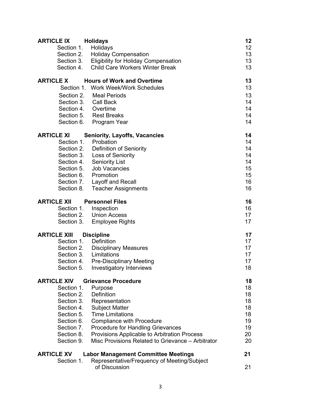| <b>ARTICLE IX</b>   | <b>Holidays</b>                                   | 12 |
|---------------------|---------------------------------------------------|----|
| Section 1.          | Holidays                                          | 12 |
| Section 2.          | <b>Holiday Compensation</b>                       | 13 |
| Section 3.          | <b>Eligibility for Holiday Compensation</b>       | 13 |
| Section 4.          | <b>Child Care Workers Winter Break</b>            | 13 |
| <b>ARTICLE X</b>    | <b>Hours of Work and Overtime</b>                 | 13 |
|                     | Section 1. Work Week/Work Schedules               | 13 |
| Section 2.          | Meal Periods                                      | 13 |
|                     | Section 3. Call Back                              | 14 |
|                     | Section 4. Overtime                               | 14 |
|                     | Section 5. Rest Breaks                            | 14 |
|                     | Section 6. Program Year                           | 14 |
| <b>ARTICLE XI</b>   | <b>Seniority, Layoffs, Vacancies</b>              | 14 |
| Section 1.          | Probation                                         | 14 |
|                     | Section 2. Definition of Seniority                | 14 |
|                     | Section 3. Loss of Seniority                      | 14 |
|                     | Section 4. Seniority List                         | 14 |
|                     | Section 5. Job Vacancies                          | 15 |
|                     | Section 6. Promotion                              | 15 |
|                     | Section 7. Layoff and Recall                      | 16 |
|                     | Section 8. Teacher Assignments                    | 16 |
| <b>ARTICLE XII</b>  | <b>Personnel Files</b>                            | 16 |
| Section 1.          | Inspection                                        | 16 |
|                     | Section 2. Union Access                           | 17 |
| Section 3.          | <b>Employee Rights</b>                            | 17 |
| <b>ARTICLE XIII</b> | <b>Discipline</b>                                 | 17 |
|                     | Section 1. Definition                             | 17 |
|                     | Section 2. Disciplinary Measures                  | 17 |
|                     | Section 3. Limitations                            | 17 |
| Section 4.          | <b>Pre-Disciplinary Meeting</b>                   | 17 |
| Section 5.          | <b>Investigatory Interviews</b>                   | 18 |
| <b>ARTICLE XIV</b>  | <b>Grievance Procedure</b>                        | 18 |
| Section 1.          | Purpose                                           | 18 |
| Section 2.          | Definition                                        | 18 |
| Section 3.          | Representation                                    | 18 |
| Section 4.          | <b>Subject Matter</b>                             | 18 |
| Section 5.          | <b>Time Limitations</b>                           | 18 |
| Section 6.          | <b>Compliance with Procedure</b>                  | 19 |
| Section 7.          | <b>Procedure for Handling Grievances</b>          | 19 |
| Section 8.          | Provisions Applicable to Arbitration Process      | 20 |
| Section 9.          | Misc Provisions Related to Grievance - Arbitrator | 20 |
| <b>ARTICLE XV</b>   | <b>Labor Management Committee Meetings</b>        | 21 |
| Section 1.          | Representative/Frequency of Meeting/Subject       |    |
|                     | of Discussion                                     | 21 |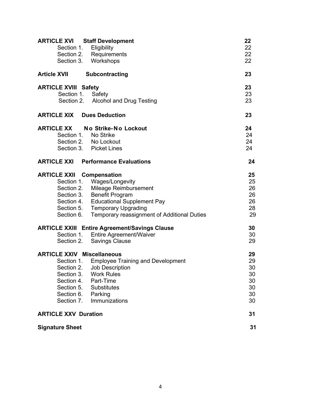| <b>ARTICLE XVI</b> Staff Development |                                                      | 22 |
|--------------------------------------|------------------------------------------------------|----|
| Section 1. Eligibility               |                                                      | 22 |
|                                      | Section 2. Requirements                              | 22 |
|                                      | Section 3. Workshops                                 | 22 |
| <b>Article XVII</b>                  | Subcontracting                                       | 23 |
| <b>ARTICLE XVIII Safety</b>          |                                                      | 23 |
| Section 1.                           | Safety                                               | 23 |
|                                      | Section 2. Alcohol and Drug Testing                  | 23 |
| <b>ARTICLE XIX Dues Deduction</b>    |                                                      | 23 |
| <b>ARTICLE XX</b>                    | No Strike-No Lockout                                 | 24 |
| Section 1. No Strike                 |                                                      | 24 |
|                                      | Section 2. No Lockout                                | 24 |
|                                      | Section 3. Picket Lines                              | 24 |
|                                      | <b>ARTICLE XXI</b> Performance Evaluations           | 24 |
| <b>ARTICLE XXII Compensation</b>     |                                                      | 25 |
|                                      | Section 1. Wages/Longevity                           | 25 |
|                                      | Section 2. Mileage Reimbursement                     | 26 |
|                                      | Section 3. Benefit Program                           | 26 |
|                                      | Section 4. Educational Supplement Pay                | 26 |
|                                      | Section 5. Temporary Upgrading                       | 28 |
| Section 6.                           | Temporary reassignment of Additional Duties          | 29 |
|                                      | <b>ARTICLE XXIII Entire Agreement/Savings Clause</b> | 30 |
|                                      | Section 1. Entire Agreement/Waiver                   | 30 |
| Section 2.                           | <b>Savings Clause</b>                                | 29 |
| <b>ARTICLE XXIV Miscellaneous</b>    |                                                      | 29 |
|                                      | Section 1. Employee Training and Development         | 29 |
| Section 2.                           | <b>Job Description</b>                               | 30 |
| Section 3.                           | <b>Work Rules</b>                                    | 30 |
| Section 4.                           | Part-Time                                            | 30 |
| Section 5.                           | <b>Substitutes</b>                                   | 30 |
| Section 6.                           | Parking                                              | 30 |
| Section 7.                           | Immunizations                                        | 30 |
| <b>ARTICLE XXV Duration</b>          |                                                      | 31 |
| <b>Signature Sheet</b>               |                                                      | 31 |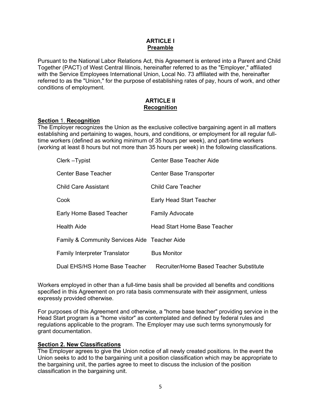#### **ARTICLE I Preamble**

Pursuant to the National Labor Relations Act, this Agreement is entered into a Parent and Child Together (PACT) of West Central Illinois, hereinafter referred to as the "Employer," affiliated with the Service Employees International Union, Local No. 73 affiliated with the, hereinafter referred to as the "Union," for the purpose of establishing rates of pay, hours of work, and other conditions of employment.

#### **ARTICLE II Recognition**

#### **Section** 1. **Recognition**

The Employer recognizes the Union as the exclusive collective bargaining agent in all matters establishing and pertaining to wages, hours, and conditions, or employment for all regular fulltime workers (defined as working minimum of 35 hours per week), and part-time workers (working at least 8 hours but not more than 35 hours per week) in the following classifications.

| Clerk-Typist                                  | Center Base Teacher Aide                |
|-----------------------------------------------|-----------------------------------------|
| <b>Center Base Teacher</b>                    | <b>Center Base Transporter</b>          |
| <b>Child Care Assistant</b>                   | <b>Child Care Teacher</b>               |
| Cook                                          | <b>Early Head Start Teacher</b>         |
| Early Home Based Teacher                      | <b>Family Advocate</b>                  |
| <b>Health Aide</b>                            | Head Start Home Base Teacher            |
| Family & Community Services Aide Teacher Aide |                                         |
| <b>Family Interpreter Translator</b>          | <b>Bus Monitor</b>                      |
| Dual EHS/HS Home Base Teacher                 | Recruiter/Home Based Teacher Substitute |

Workers employed in other than a full-time basis shall be provided all benefits and conditions specified in this Agreement on pro rata basis commensurate with their assignment, unless expressly provided otherwise.

For purposes of this Agreement and otherwise, a "home base teacher" providing service in the Head Start program is a "home visitor" as contemplated and defined by federal rules and regulations applicable to the program. The Employer may use such terms synonymously for grant documentation.

### **Section 2. New Classifications**

The Employer agrees to give the Union notice of all newly created positions. In the event the Union seeks to add to the bargaining unit a position classification which may be appropriate to the bargaining unit, the parties agree to meet to discuss the inclusion of the position classification in the bargaining unit.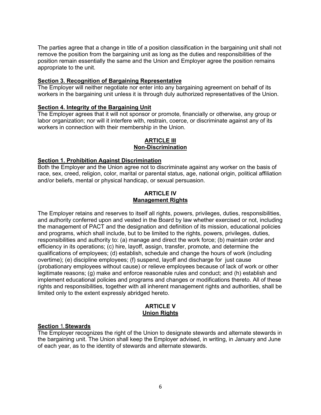The parties agree that a change in title of a position classification in the bargaining unit shall not remove the position from the bargaining unit as long as the duties and responsibilities of the position remain essentially the same and the Union and Employer agree the position remains appropriate to the unit.

#### **Section 3. Recognition of Bargaining Representative**

The Employer will neither negotiate nor enter into any bargaining agreement on behalf of its workers in the bargaining unit unless it is through duly authorized representatives of the Union.

# **Section 4. Integrity of the Bargaining Unit**

The Employer agrees that it will not sponsor or promote, financially or otherwise, any group or labor organization; nor will it interfere with, restrain, coerce, or discriminate against any of its workers in connection with their membership in the Union.

### **ARTICLE III Non-Discrimination**

### **Section 1. Prohibition Against Discrimination**

Both the Employer and the Union agree not to discriminate against any worker on the basis of race, sex, creed, religion, color, marital or parental status, age, national origin, political affiliation and/or beliefs, mental or physical handicap, or sexual persuasion.

#### **ARTICLE IV Management Rights**

The Employer retains and reserves to itself all rights, powers, privileges, duties, responsibilities, and authority conferred upon and vested in the Board by law whether exercised or not, including the management of PACT and the designation and definition of its mission, educational policies and programs, which shall include, but to be limited to the rights, powers, privileges, duties, responsibilities and authority to: (a) manage and direct the work force; (b) maintain order and efficiency in its operations; (c) hire, layoff, assign, transfer, promote, and determine the qualifications of employees; (d) establish, schedule and change the hours of work (including overtime); (e) discipline employees; (f) suspend, layoff and discharge for just cause (probationary employees without cause) or relieve employees because of lack of work or other legitimate reasons; (g) make and enforce reasonable rules and conduct; and (h) establish and implement educational policies and programs and changes or modifications thereto. All of these rights and responsibilities, together with all inherent management rights and authorities, shall be limited only to the extent expressly abridged hereto.

### **ARTICLE V Union Rights**

### **Section** 1. **Stewards**

The Employer recognizes the right of the Union to designate stewards and alternate stewards in the bargaining unit. The Union shall keep the Employer advised, in writing, in January and June of each year, as to the identity of stewards and alternate stewards.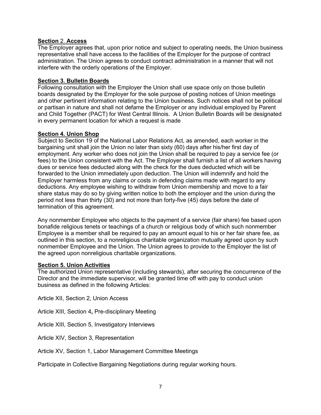### **Section** 2. **Access**

The Employer agrees that, upon prior notice and subject to operating needs, the Union business representative shall have access to the facilities of the Employer for the purpose of contract administration. The Union agrees to conduct contract administration in a manner that will not interfere with the orderly operations of the Employer.

#### **Section 3. Bulletin Boards**

Following consultation with the Employer the Union shall use space only on those bulletin boards designated by the Employer for the sole purpose of posting notices of Union meetings and other pertinent information relating to the Union business. Such notices shall not be political or partisan in nature and shall not defame the Employer or any individual employed by Parent and Child Together (PACT) for West Central Illinois. A Union Bulletin Boards will be designated in every permanent location for which a request is made

#### **Section 4. Union Shop**

Subject to Section 19 of the National Labor Relations Act, as amended, each worker in the bargaining unit shall join the Union no later than sixty (60) days after his/her first day of employment. Any worker who does not join the Union shall be required to pay a service fee (or fees) to the Union consistent with the Act. The Employer shall furnish a list of all workers having dues or service fees deducted along with the check for the dues deducted which will be forwarded to the Union immediately upon deduction. The Union will indemnify and hold the Employer harmless from any claims or costs in defending claims made with regard to any deductions. Any employee wishing to withdraw from Union membership and move to a fair share status may do so by giving written notice to both the employer and the union during the period not less than thirty (30) and not more than forty-five (45) days before the date of termination of this agreement.

Any nonmember Employee who objects to the payment of a service (fair share) fee based upon bonafide religious tenets or teachings of a church or religious body of which such nonmember Employee is a member shall be required to pay an amount equal to his or her fair share fee, as outlined in this section, to a nonreligious charitable organization mutually agreed upon by such nonmember Employee and the Union. The Union agrees to provide to the Employer the list of the agreed upon nonreligious charitable organizations.

#### **Section 5. Union Activities**

The authorized Union representative (including stewards), after securing the concurrence of the Director and the immediate supervisor, will be granted time off with pay to conduct union business as defined in the following Articles:

Article XII, Section 2, Union Access

Article XIII, Section 4**,** Pre-disciplinary Meeting

Article XIII, Section 5, Investigatory Interviews

Article XIV, Section 3, Representation

Article XV, Section 1, Labor Management Committee Meetings

Participate in Collective Bargaining Negotiations during regular working hours.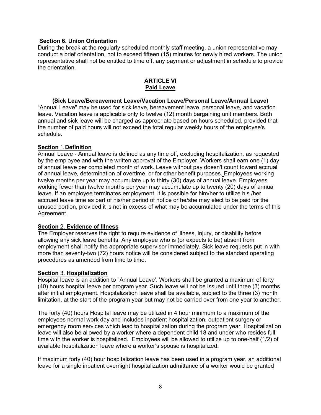#### **Section 6. Union Orientation**

During the break at the regularly scheduled monthly staff meeting, a union representative may conduct a brief orientation, not to exceed fifteen (15) minutes for newly hired workers. The union representative shall not be entitled to time off, any payment or adjustment in schedule to provide the orientation.

## **ARTICLE VI Paid Leave**

# **(Sick Leave/Bereavement Leave/Vacation Leave/Personal Leave/Annual Leave)**

"Annual Leave" may be used for sick leave, bereavement leave, personal leave, and vacation leave. Vacation leave is applicable only to twelve (12) month bargaining unit members. Both annual and sick leave will be charged as appropriate based on hours scheduled, provided that the number of paid hours will not exceed the total regular weekly hours of the employee's schedule.

#### **Section** 1. **Definition**

Annual Leave - Annual leave is defined as any time off, excluding hospitalization, as requested by the employee and with the written approval of the Employer. Workers shall earn one (1) day of annual leave per completed month of work. Leave without pay doesn't count toward accrual of annual leave, determination of overtime, or for other benefit purposes. Employees working twelve months per year may accumulate up to thirty (30) days of annual leave. Employees working fewer than twelve months per year may accumulate up to twenty (20) days of annual leave. If an employee terminates employment, it is possible for him/her to utilize his /her accrued leave time as part of his/her period of notice or he/she may elect to be paid for the unused portion, provided it is not in excess of what may be accumulated under the terms of this Agreement.

### **Section** 2. **Evidence of Illness**

The Employer reserves the right to require evidence of illness, injury, or disability before allowing any sick leave benefits. Any employee who is (or expects to be) absent from employment shall notify the appropriate supervisor immediately. Sick leave requests put in with more than seventy-two (72) hours notice will be considered subject to the standard operating procedures as amended from time to time.

#### **Section** 3. **Hospitalization**

Hospital leave is an addition to "Annual Leave'. Workers shall be granted a maximum of forty (40) hours hospital leave per program year. Such leave will not be issued until three (3) months after initial employment. Hospitalization leave shall be available, subject to the three (3) month limitation, at the start of the program year but may not be carried over from one year to another.

The forty (40) hours Hospital leave may be utilized in 4 hour minimum to a maximum of the employees normal work day and includes inpatient hospitalization, outpatient surgery or emergency room services which lead to hospitalization during the program year. Hospitalization leave will also be allowed by a worker where a dependent child 18 and under who resides full time with the worker is hospitalized. Employees will be allowed to utilize up to one-half (1/2) of available hospitalization leave where a worker's spouse is hospitalized.

If maximum forty (40) hour hospitalization leave has been used in a program year, an additional leave for a single inpatient overnight hospitalization admittance of a worker would be granted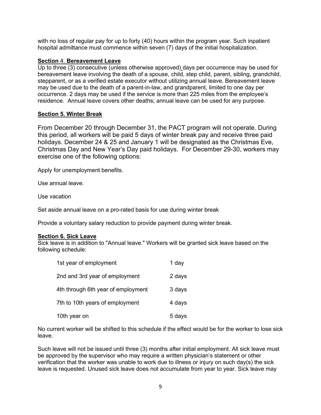with no loss of regular pay for up to forty (40) hours within the program year. Such inpatient hospital admittance must commence within seven (7) days of the initial hospitalization.

#### **Section** 4. **Bereavement Leave**

Up to three (3) consecutive (unless otherwise approved) days per occurrence may be used for bereavement leave involving the death of a spouse, child, step child, parent, sibling, grandchild, stepparent, or as a verified estate executor without utilizing annual leave. Bereavement leave may be used due to the death of a parent-in-law, and grandparent, limited to one day per occurrence. 2 days may be used if the service is more than 225 miles from the employee's residence. Annual leave covers other deaths; annual leave can be used for any purpose.

#### **Section 5. Winter Break**

From December 20 through December 31, the PACT program will not operate. During this period, all workers will be paid 5 days of winter break pay and receive three paid holidays. December 24 & 25 and January 1 will be designated as the Christmas Eve, Christmas Day and New Year's Day paid holidays. For December 29-30, workers may exercise one of the following options:

Apply for unemployment benefits.

Use annual leave.

Use vacation

Set aside annual leave on a pro-rated basis for use during winter break

Provide a voluntary salary reduction to provide payment during winter break.

#### **Section 6. Sick Leave**

Sick leave is in addition to "Annual leave." Workers will be granted sick leave based on the following schedule:

| 1st year of employment             | 1 day  |
|------------------------------------|--------|
| 2nd and 3rd year of employment     | 2 days |
| 4th through 6th year of employment | 3 days |
| 7th to 10th years of employment    | 4 days |
| 10th year on                       | 5 days |

No current worker will be shifted to this schedule if the effect would be for the worker to lose sick leave.

Such leave will not be issued until three (3) months after initial employment. All sick leave must be approved by the supervisor who may require a written physician's statement or other verification that the worker was unable to work due to illness or injury on such day(s) the sick leave is requested. Unused sick leave does not accumulate from year to year. Sick leave may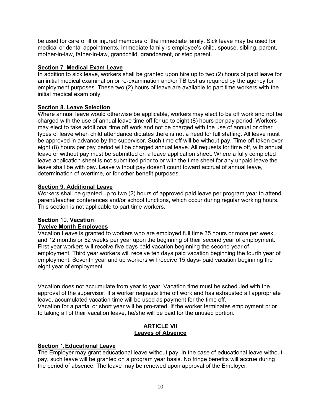be used for care of ill or injured members of the immediate family. Sick leave may be used for medical or dental appointments. Immediate family is employee's child, spouse, sibling, parent, mother-in-law, father-in-law, grandchild, grandparent, or step parent.

### **Section** 7. **Medical Exam Leave**

In addition to sick leave, workers shall be granted upon hire up to two (2) hours of paid leave for an initial medical examination or re-examination and/or TB test as required by the agency for employment purposes. These two (2) hours of leave are available to part time workers with the initial medical exam only.

### **Section 8. Leave Selection**

Where annual leave would otherwise be applicable, workers may elect to be off work and not be charged with the use of annual leave time off for up to eight (8) hours per pay period. Workers may elect to take additional time off work and not be charged with the use of annual or other types of leave when child attendance dictates there is not a need for full staffing. All leave must be approved in advance by the supervisor. Such time off will be without pay. Time off taken over eight (8) hours per pay period will be charged annual leave. All requests for time off, with annual leave or without pay must be submitted on a leave application sheet. Where a fully completed leave application sheet is not submitted prior to or with the time sheet for any unpaid leave the leave shall be with pay. Leave without pay doesn't count toward accrual of annual leave, determination of overtime, or for other benefit purposes.

### **Section 9. Additional Leave**

Workers shall be granted up to two (2) hours of approved paid leave per program year to attend parent/teacher conferences and/or school functions, which occur during regular working hours. This section is not applicable to part time workers.

# **Section** 10. **Vacation**

## **Twelve Month Employees**

Vacation Leave is granted to workers who are employed full time 35 hours or more per week, and 12 months or 52 weeks per year upon the beginning of their second year of employment. First year workers will receive five days paid vacation beginning the second year of employment. Third year workers will receive ten days paid vacation beginning the fourth year of employment. Seventh year and up workers will receive 15 days- paid vacation beginning the eight year of employment.

Vacation does not accumulate from year to year. Vacation time must be scheduled with the approval of the supervisor. If a worker requests time off work and has exhausted all appropriate leave, accumulated vacation time will be used as payment for the time off. Vacation for a partial or short year will be pro-rated. If the worker terminates employment prior to taking all of their vacation leave, he/she will be paid for the unused portion.

#### **ARTICLE VII Leaves of Absence**

# **Section** 1. **Educational Leave**

The Employer may grant educational leave without pay. In the case of educational leave without pay, such leave will be granted on a program year basis. No fringe benefits will accrue during the period of absence. The leave may be renewed upon approval of the Employer.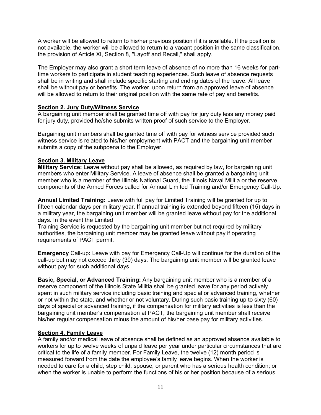A worker will be allowed to return to his/her previous position if it is available. If the position is not available, the worker will be allowed to return to a vacant position in the same classification, the provision of Article XI, Section 8, "Layoff and Recall," shall apply.

The Employer may also grant a short term leave of absence of no more than 16 weeks for parttime workers to participate in student teaching experiences. Such leave of absence requests shall be in writing and shall include specific starting and ending dates of the leave. All leave shall be without pay or benefits. The worker, upon return from an approved leave of absence will be allowed to return to their original position with the same rate of pay and benefits.

### **Section 2. Jury Duty/Witness Service**

A bargaining unit member shall be granted time off with pay for jury duty less any money paid for jury duty, provided he/she submits written proof of such service to the Employer.

Bargaining unit members shall be granted time off with pay for witness service provided such witness service is related to his/her employment with PACT and the bargaining unit member submits a copy of the subpoena to the Employer.

# **Section 3. Military Leave**

**Military Service:** Leave without pay shall be allowed, as required by law, for bargaining unit members who enter Military Service. A leave of absence shall be granted a bargaining unit member who is a member of the Illinois National Guard, the Illinois Naval Militia or the reserve components of the Armed Forces called for Annual Limited Training and/or Emergency Call-Up.

**Annual Limited Training:** Leave with full pay for Limited Training will be granted for up to fifteen calendar days per military year. If annual training is extended beyond fifteen (15) days in a military year, the bargaining unit member will be granted leave without pay for the additional days. In the event the Limited

Training Service is requested by the bargaining unit member but not required by military authorities, the bargaining unit member may be granted leave without pay if operating requirements of PACT permit.

**Emergency** Call**-**up**:** Leave with pay for Emergency Call-Up will continue for the duration of the call-up but may not exceed thirty (30) days. The bargaining unit member will be granted leave without pay for such additional days.

**Basic, Special, or Advanced Training:** Any bargaining unit member who is a member of a reserve component of the Illinois State Militia shall be granted leave for any period actively spent in such military service including basic training and special or advanced training, whether or not within the state, and whether or not voluntary. During such basic training up to sixty (60) days of special or advanced training, if the compensation for military activities is less than the bargaining unit member's compensation at PACT, the bargaining unit member shall receive his/her regular compensation minus the amount of his/her base pay for military activities.

### **Section 4. Family Leave**

A family and/or medical leave of absence shall be defined as an approved absence available to workers for up to twelve weeks of unpaid leave per year under particular circumstances that are critical to the life of a family member. For Family Leave, the twelve (12) month period is measured forward from the date the employee's family leave begins. When the worker is needed to care for a child, step child, spouse, or parent who has a serious health condition; or when the worker is unable to perform the functions of his or her position because of a serious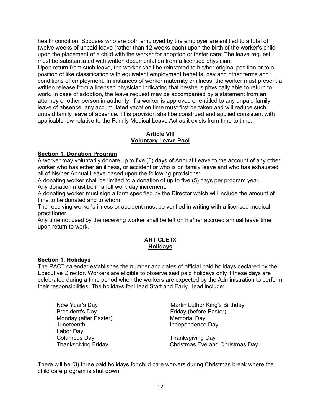health condition. Spouses who are both employed by the employer are entitled to a total of twelve weeks of unpaid leave (rather than 12 weeks each) upon the birth of the worker's child, upon the placement of a child with the worker for adoption or foster care; The leave request must be substantiated with written documentation from a licensed physician. Upon return from such leave, the worker shall be reinstated to his/her original position or to a

position of like classification with equivalent employment benefits, pay and other terms and conditions of employment. In instances of worker maternity or illness, the worker must present a written release from a licensed physician indicating that he/she is physically able to return to work. In case of adoption, the leave request may be accompanied by a statement from an attorney or other person in authority. If a worker is approved or entitled to any unpaid family leave of absence, any accumulated vacation time must first be taken and will reduce such unpaid family leave of absence. This provision shall be construed and applied consistent with applicable law relative to the Family Medical Leave Act as it exists from time to time.

# **Article VIII Voluntary Leave Pool**

# **Section 1. Donation Program**

A worker may voluntarily donate up to five (5) days of Annual Leave to the account of any other worker who has either an illness, or accident or who is on family leave and who has exhausted all of his/her Annual Leave based upon the following provisions:

A donating worker shall be limited to a donation of up to five (5) days per program year. Any donation must be in a full work day increment.

A donating worker must sign a form specified by the Director which will include the amount of time to be donated and to whom.

The receiving worker's illness or accident must be verified in writing with a licensed medical practitioner.

Any time not used by the receiving worker shall be left on his/her accrued annual leave time upon return to work.

# **ARTICLE IX Holidays**

### **Section 1. Holidays**

The PACT calendar establishes the number and dates of official paid holidays declared by the Executive Director. Workers are eligible to observe said paid holidays only if these days are celebrated during a time period when the workers are expected by the Administration to perform their responsibilities. The holidays for Head Start and Early Head include:

President's Day **Friday** (before Easter) Monday (after Easter) Memorial Day<br>Juneteenth Independence Labor Day<br>Columbus Dav

New Year's Day Martin Luther King's Birthday Independence Day

Thanksgiving Day Thanksgiving Friday Christmas Eve and Christmas Day

There will be (3) three paid holidays for child care workers during Christmas break where the child care program is shut down.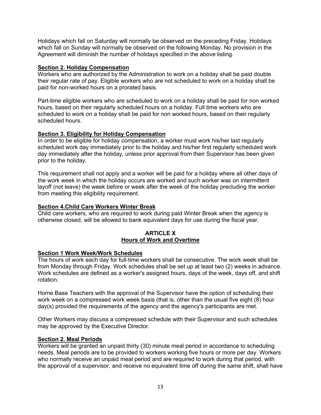Holidays which fall on Saturday will normally be observed on the preceding Friday. Holidays which fall on Sunday will normally be observed on the following Monday. No provision in the Agreement will diminish the number of holidays specified in the above listing.

# **Section 2. Holiday Compensation**

Workers who are authorized by the Administration to work on a holiday shall be paid double their regular rate of pay. Eligible workers who are not scheduled to work on a holiday shall be paid for non-worked hours on a prorated basis.

Part-time eligible workers who are scheduled to work on a holiday shall be paid for non worked hours, based on their regularly scheduled hours on a holiday. Full time workers who are scheduled to work on a holiday shall be paid for non worked hours, based on their regularly scheduled hours.

# **Section 3. Eligibility for Holiday Compensation**

In order to be eligible for holiday compensation, a worker must work his/her last regularly scheduled work day immediately prior to the holiday and his/her first regularly scheduled work day immediately after the holiday, unless prior approval from their Supervisor has been given prior to the holiday.

This requirement shall not apply and a worker will be paid for a holiday where all other days of the work week in which the holiday occurs are worked and such worker was on intermittent layoff (not leave) the week before or week after the week of the holiday precluding the worker from meeting this eligibility requirement.

# **Section 4.Child Care Workers Winter Break**

Child care workers, who are required to work during paid Winter Break when the agency is otherwise closed, will be allowed to bank equivalent days for use during the fiscal year.

### **ARTICLE X Hours of Work and Overtime**

### **Section 1 Work Week/Work Schedules**

The hours of work each day for full-time workers shall be consecutive. The work week shall be from Monday through Friday. Work schedules shall be set up at least two (2) weeks in advance. Work schedules are defined as a worker's assigned hours, days of the week, days off, and shift rotation.

Home Base Teachers with the approval of the Supervisor have the option of scheduling their work week on a compressed work week basis (that is, other than the usual five eight (8) hour day(s) provided the requirements of the agency and the agency's participants are met.

Other Workers may discuss a compressed schedule with their Supervisor and such schedules may be approved by the Executive Director.

### **Section 2. Meal Periods**

Workers will be granted an unpaid thirty (30) minute meal period in accordance to scheduling needs. Meal periods are to be provided to workers working five hours or more per day. Workers who normally receive an unpaid meal period and are required to work during that period, with the approval of a supervisor, and receive no equivalent time off during the same shift, shall have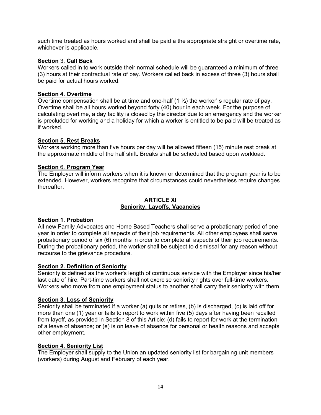such time treated as hours worked and shall be paid a the appropriate straight or overtime rate, whichever is applicable.

### **Section** 3. **Call Back**

Workers called in to work outside their normal schedule will be guaranteed a minimum of three (3) hours at their contractual rate of pay. Workers called back in excess of three (3) hours shall be paid for actual hours worked.

#### **Section 4. Overtime**

Overtime compensation shall be at time and one-half (1 ½) the worker' s regular rate of pay. Overtime shall be all hours worked beyond forty (40) hour in each week. For the purpose of calculating overtime, a day facility is closed by the director due to an emergency and the worker is precluded for working and a holiday for which a worker is entitled to be paid will be treated as if worked.

#### **Section 5. Rest Breaks**

Workers working more than five hours per day will be allowed fifteen (15) minute rest break at the approximate middle of the half shift. Breaks shall be scheduled based upon workload.

#### **Section** 6. **Program Year**

The Employer will inform workers when it is known or determined that the program year is to be extended. However, workers recognize that circumstances could nevertheless require changes thereafter.

#### **ARTICLE XI Seniority, Layoffs, Vacancies**

### **Section 1. Probation**

All new Family Advocates and Home Based Teachers shall serve a probationary period of one year in order to complete all aspects of their job requirements. All other employees shall serve probationary period of six (6) months in order to complete all aspects of their job requirements. During the probationary period, the worker shall be subject to dismissal for any reason without recourse to the grievance procedure.

#### **Section 2. Definition of Seniority**

Seniority is defined as the worker's length of continuous service with the Employer since his/her last date of hire. Part-time workers shall not exercise seniority rights over full-time workers. Workers who move from one employment status to another shall carry their seniority with them.

#### **Section 3**. **Loss of Seniority**

Seniority shall be terminated if a worker (a) quits or retires, (b) is discharged, (c) is laid off for more than one (1) year or fails to report to work within five (5) days after having been recalled from layoff, as provided in Section 8 of this Article; (d) fails to report for work at the termination of a leave of absence; or (e) is on leave of absence for personal or health reasons and accepts other employment.

# **Section 4. Seniority List**

The Employer shall supply to the Union an updated seniority list for bargaining unit members (workers) during August and February of each year.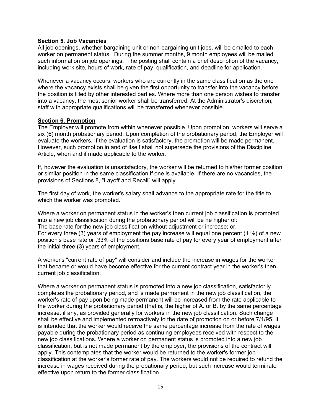### **Section 5. Job Vacancies**

All job openings, whether bargaining unit or non-bargaining unit jobs, will be emailed to each worker on permanent status. During the summer months, 9 month employees will be mailed such information on job openings. The posting shall contain a brief description of the vacancy, including work site, hours of work, rate of pay, qualification, and deadline for application.

Whenever a vacancy occurs, workers who are currently in the same classification as the one where the vacancy exists shall be given the first opportunity to transfer into the vacancy before the position is filled by other interested parties. Where more than one person wishes to transfer into a vacancy, the most senior worker shall be transferred. At the Administrator's discretion, staff with appropriate qualifications will be transferred whenever possible.

#### **Section 6. Promotion**

The Employer will promote from within whenever possible. Upon promotion, workers will serve a six (6) month probationary period. Upon completion of the probationary period, the Employer will evaluate the workers. If the evaluation is satisfactory, the promotion will be made permanent. However, such promotion in and of itself shall not supersede the provisions of the Discipline Article, when and if made applicable to the worker.

If, however the evaluation is unsatisfactory, the worker will be returned to his/her former position or similar position in the same classification if one is available. If there are no vacancies, the provisions of Sections 8, "Layoff and Recall" will apply.

The first day of work, the worker's salary shall advance to the appropriate rate for the title to which the worker was promoted.

Where a worker on permanent status in the worker's then current job classification is promoted into a new job classification during the probationary period will be he higher of: The base rate for the new job classification without adjustment or increase; or, For every three (3) years of employment the pay increase will equal one percent (1 %) of a new position's base rate or .33% of the positions base rate of pay for every year of employment after the initial three (3) years of employment.

A worker's "current rate of pay" will consider and include the increase in wages for the worker that became or would have become effective for the current contract year in the worker's then current job classification.

Where a worker on permanent status is promoted into a new job classification, satisfactorily completes the probationary period, and is made permanent in the new job classification, the worker's rate of pay upon being made permanent will be increased from the rate applicable to the worker during the probationary period (that is, the higher of A. or B. by the same percentage increase, if any, as provided generally for workers in the new job classification. Such change shall be effective and implemented retroactively to the date of promotion on or before 7/1/95. It is intended that the worker would receive the same percentage increase from the rate of wages payable during the probationary period as continuing employees received with respect to the new job classifications. Where a worker on permanent status is promoted into a new job classification, but is not made permanent by the employer, the provisions of the contract will apply. This contemplates that the worker would be returned to the worker's former job classification at the worker's former rate of pay. The workers would not be required to refund the increase in wages received during the probationary period, but such increase would terminate effective upon return to the former classification.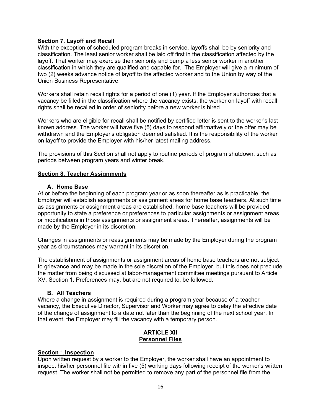# **Section 7. Layoff and Recall**

With the exception of scheduled program breaks in service, layoffs shall be by seniority and classification. The least senior worker shall be laid off first in the classification affected by the layoff. That worker may exercise their seniority and bump a less senior worker in another classification in which they are qualified and capable for. The Employer will give a minimum of two (2) weeks advance notice of layoff to the affected worker and to the Union by way of the Union Business Representative.

Workers shall retain recall rights for a period of one (1) year. If the Employer authorizes that a vacancy be filled in the classification where the vacancy exists, the worker on layoff with recall rights shall be recalled in order of seniority before a new worker is hired.

Workers who are eligible for recall shall be notified by certified letter is sent to the worker's last known address. The worker will have five (5) days to respond affirmatively or the offer may be withdrawn and the Employer's obligation deemed satisfied. It is the responsibility of the worker on layoff to provide the Employer with his/her latest mailing address.

The provisions of this Section shall not apply to routine periods of program shutdown, such as periods between program years and winter break.

### **Section 8. Teacher Assignments**

#### **A. Home Base**

At or before the beginning of each program year or as soon thereafter as is practicable, the Employer will establish assignments or assignment areas for home base teachers. At such time as assignments or assignment areas are established, home base teachers will be provided opportunity to state a preference or preferences to particular assignments or assignment areas or modifications in those assignments or assignment areas. Thereafter, assignments will be made by the Employer in its discretion.

Changes in assignments or reassignments may be made by the Employer during the program year as circumstances may warrant in its discretion.

The establishment of assignments or assignment areas of home base teachers are not subject to grievance and may be made in the sole discretion of the Employer, but this does not preclude the matter from being discussed at labor-management committee meetings pursuant to Article XV, Section 1. Preferences may, but are not required to, be followed.

### **B. All Teachers**

Where a change in assignment is required during a program year because of a teacher vacancy, the Executive Director, Supervisor and Worker may agree to delay the effective date of the change of assignment to a date not later than the beginning of the next school year. In that event, the Employer may fill the vacancy with a temporary person.

### **ARTICLE XII Personnel Files**

### **Section** 1. **Inspection**

Upon written request by a worker to the Employer, the worker shall have an appointment to inspect his/her personnel file within five (5) working days following receipt of the worker's written request. The worker shall not be permitted to remove any part of the personnel file from the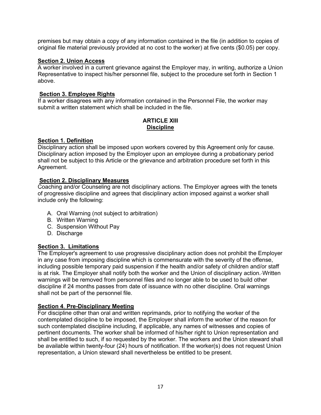premises but may obtain a copy of any information contained in the file (in addition to copies of original file material previously provided at no cost to the worker) at five cents (\$0.05) per copy.

# **Section 2. Union Access**

A worker involved in a current grievance against the Employer may, in writing, authorize a Union Representative to inspect his/her personnel file, subject to the procedure set forth in Section 1 above.

# **Section 3. Employee Rights**

If a worker disagrees with any information contained in the Personnel File, the worker may submit a written statement which shall be included in the file.

#### **ARTICLE XIII Discipline**

# **Section 1. Definition**

Disciplinary action shall be imposed upon workers covered by this Agreement only for cause. Disciplinary action imposed by the Employer upon an employee during a probationary period shall not be subject to this Article or the grievance and arbitration procedure set forth in this Agreement.

# **Section 2. Disciplinary Measures**

Coaching and/or Counseling are not disciplinary actions. The Employer agrees with the tenets of progressive discipline and agrees that disciplinary action imposed against a worker shall include only the following:

- A. Oral Warning (not subject to arbitration)
- B. Written Warning
- C. Suspension Without Pay
- D. Discharge

# **Section 3. Limitations**

The Employer's agreement to use progressive disciplinary action does not prohibit the Employer in any case from imposing discipline which is commensurate with the severity of the offense, including possible temporary paid suspension if the health and/or safety of children and/or staff is at risk. The Employer shall notify both the worker and the Union of disciplinary action. Written warnings will be removed from personnel files and no longer able to be used to build other discipline if 24 months passes from date of issuance with no other discipline. Oral warnings shall not be part of the personnel file.

### **Section 4**. **Pre-Disciplinary Meeting**

For discipline other than oral and written reprimands, prior to notifying the worker of the contemplated discipline to be imposed, the Employer shall inform the worker of the reason for such contemplated discipline including, if applicable, any names of witnesses and copies of pertinent documents. The worker shall be informed of his/her right to Union representation and shall be entitled to such, if so requested by the worker. The workers and the Union steward shall be available within twenty-four (24) hours of notification. If the worker(s) does not request Union representation, a Union steward shall nevertheless be entitled to be present.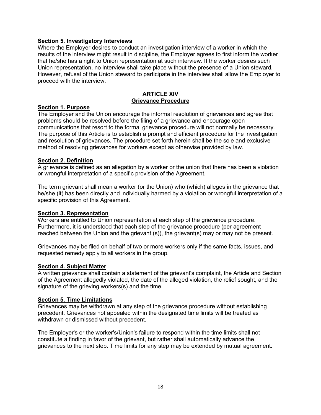### **Section 5. Investigatory Interviews**

Where the Employer desires to conduct an investigation interview of a worker in which the results of the interview might result in discipline, the Employer agrees to first inform the worker that he/she has a right to Union representation at such interview. If the worker desires such Union representation, no interview shall take place without the presence of a Union steward. However, refusal of the Union steward to participate in the interview shall allow the Employer to proceed with the interview.

#### **ARTICLE XIV Grievance Procedure**

# **Section 1. Purpose**

The Employer and the Union encourage the informal resolution of grievances and agree that problems should be resolved before the filing of a grievance and encourage open communications that resort to the formal grievance procedure will not normally be necessary. The purpose of this Article is to establish a prompt and efficient procedure for the investigation and resolution of grievances. The procedure set forth herein shall be the sole and exclusive method of resolving grievances for workers except as otherwise provided by law.

#### **Section 2. Definition**

A grievance is defined as an allegation by a worker or the union that there has been a violation or wrongful interpretation of a specific provision of the Agreement.

The term grievant shall mean a worker (or the Union) who (which) alleges in the grievance that he/she (it) has been directly and individually harmed by a violation or wrongful interpretation of a specific provision of this Agreement.

### **Section 3. Representation**

Workers are entitled to Union representation at each step of the grievance procedure. Furthermore, it is understood that each step of the grievance procedure (per agreement reached between the Union and the grievant (s)), the grievant(s) may or may not be present.

Grievances may be filed on behalf of two or more workers only if the same facts, issues, and requested remedy apply to all workers in the group.

#### **Section 4. Subject Matter**

A written grievance shall contain a statement of the grievant's complaint, the Article and Section of the Agreement allegedly violated, the date of the alleged violation, the relief sought, and the signature of the grieving workers(s) and the time.

#### **Section 5. Time Limitations**

Grievances may be withdrawn at any step of the grievance procedure without establishing precedent. Grievances not appealed within the designated time limits will be treated as withdrawn or dismissed without precedent.

The Employer's or the worker's/Union's failure to respond within the time limits shall not constitute a finding in favor of the grievant, but rather shall automatically advance the grievances to the next step. Time limits for any step may be extended by mutual agreement.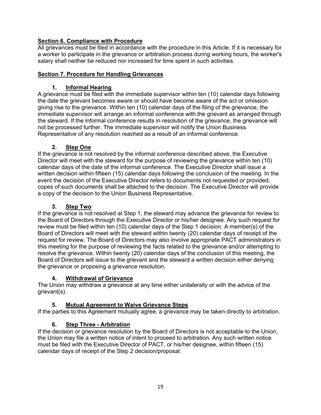# **Section 6. Compliance with Procedure**

All grievances must be filed in accordance with the procedure in this Article. If it is necessary for a worker to participate in the grievance or arbitration process during working hours, the worker's salary shall neither be reduced nor increased for time spent in such activities.

# **Section 7. Procedure for Handling Grievances**

# **1. Informal Hearing**

A grievance must be filed with the immediate supervisor within ten (10) calendar days following the date the grievant becomes aware or should have become aware of the act or omission giving rise to the grievance. Within ten (10) calendar days of the filing of the grievance, the immediate supervisor will arrange an informal conference with the grievant as arranged through the steward. If the informal conference results in resolution of the grievance, the grievance will not be processed further. The immediate supervisor will notify the Union Business Representative of any resolution reached as a result of an informal conference.

# **2. Step One**

If the grievance is not resolved by the informal conference described above, the Executive Director will meet with the steward for the purpose of reviewing the grievance within ten (10) calendar days of the date of the informal conference. The Executive Director shall issue a written decision within fifteen (15) calendar days following the conclusion of the meeting. In the event the decision of the Executive Director refers to documents not requested or provided, copes of such documents shall be attached to the decision. The Executive Director will provide a copy of the decision to the Union Business Representative.

# **3. Step Two**

If the grievance is not resolved at Step 1, the steward may advance the grievance for review to the Board of Directors through the Executive Director or his/her designee. Any such request for review must be filed within ten (10) calendar days of the Step 1 decision. A member(s) of the Board of Directors will meet with the steward within twenty (20) calendar days of receipt of the request for review. The Board of Directors may also involve appropriate PACT administrators in this meeting for the purpose of reviewing the facts related to the grievance and/or attempting to resolve the grievance. Within twenty (20) calendar days of the conclusion of this meeting, the Board of Directors will issue to the grievant and the steward a written decision either denying the grievance or proposing a grievance resolution.

### **4. Withdrawal of Grievance**

The Union may withdraw a grievance at any time either unilaterally or with the advice of the grievant(s).

# **5. Mutual Agreement to Waive Grievance Steps**

If the parties to this Agreement mutually agree, a grievance may be taken directly to arbitration.

# **6. Step Three - Arbitration**

If the decision or grievance resolution by the Board of Directors is not acceptable to the Union, the Union may file a written notice of intent to proceed to arbitration. Any such written notice must be filed with the Executive Director of PACT, or his/her designee, within fifteen (15) calendar days of receipt of the Step 2 decision/proposal.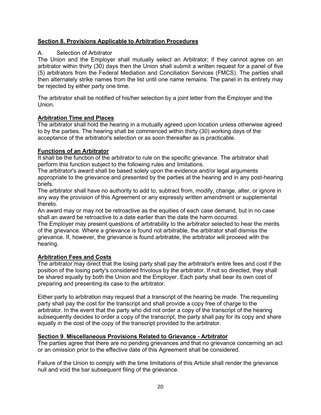# **Section 8. Provisions Applicable to Arbitration Procedures**

### A. Selection of Arbitrator

The Union and the Employer shall mutually select an Arbitrator; if they cannot agree on an arbitrator within thirty (30) days then the Union shall submit a written request for a panel of five (5) arbitrators from the Federal Mediation and Conciliation Services (FMCS). The parties shall then alternately strike names from the list until one name remains. The panel in its entirety may be rejected by either party one time.

The arbitrator shall be notified of his/her selection by a joint letter from the Employer and the Union.

### **Arbitration Time and Places**

The arbitrator shall hold the hearing in a mutually agreed upon location unless otherwise agreed to by the parties. The hearing shall be commenced within thirty (30) working days of the acceptance of the arbitrator's selection or as soon thereafter as is practicable.

### **Functions of an Arbitrator**

It shall be the function of the arbitrator to rule on the specific grievance. The arbitrator shall perform this function subject to the following rules and limitations.

The arbitrator's award shall be based solely upon the evidence and/or legal arguments appropriate to the grievance and presented by the parties at the hearing and in any post-hearing briefs.

The arbitrator shall have no authority to add to, subtract from, modify, change, alter, or ignore in any way the provision of this Agreement or any expressly written amendment or supplemental thereto.

An award may or may not be retroactive as the equities of each case demand, but in no case shall an award be retroactive to a date earlier than the date the harm occurred.

The Employer may present questions of arbitrability to the arbitrator selected to hear the merits of the grievance. Where a grievance is found not arbitrable, the arbitrator shall dismiss the grievance. If, however, the grievance is found arbitrable, the arbitrator will proceed with the hearing.

### **Arbitration Fees and Costs**

The arbitrator may direct that the losing party shall pay the arbitrator's entire fees and cost if the position of the losing party's considered frivolous by the arbitrator. If not so directed, they shall be shared equally by both the Union and the Employer. Each party shall bear its own cost of preparing and presenting its case to the arbitrator.

Either party to arbitration may request that a transcript of the hearing be made. The requesting party shall pay the cost for the transcript and shall provide a copy free of charge to the arbitrator. In the event that the party who did not order a copy of the transcript of the hearing subsequently decides to order a copy of the transcript, the party shall pay for its copy and share equally in the cost of the copy of the transcript provided to the arbitrator.

## **Section 9**. **Miscellaneous Provisions Related to Grievance - Arbitrator**

The parties agree that there are no pending grievances and that no grievance concerning an act or an omission prior to the effective date of this Agreement shall be considered.

Failure of the Union to comply with the time limitations of this Article shall render the grievance null and void the bar subsequent filing of the grievance.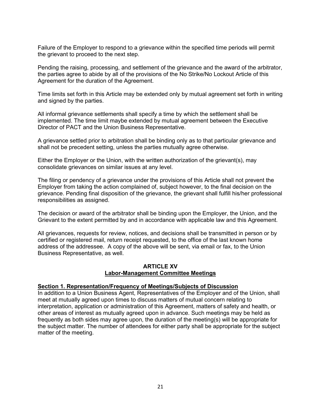Failure of the Employer to respond to a grievance within the specified time periods will permit the grievant to proceed to the next step.

Pending the raising, processing, and settlement of the grievance and the award of the arbitrator, the parties agree to abide by all of the provisions of the No Strike/No Lockout Article of this Agreement for the duration of the Agreement.

Time limits set forth in this Article may be extended only by mutual agreement set forth in writing and signed by the parties.

All informal grievance settlements shall specify a time by which the settlement shall be implemented. The time limit maybe extended by mutual agreement between the Executive Director of PACT and the Union Business Representative.

A grievance settled prior to arbitration shall be binding only as to that particular grievance and shall not be precedent setting, unless the parties mutually agree otherwise.

Either the Employer or the Union, with the written authorization of the grievant(s), may consolidate grievances on similar issues at any level.

The filing or pendency of a grievance under the provisions of this Article shall not prevent the Employer from taking the action complained of, subject however, to the final decision on the grievance. Pending final disposition of the grievance, the grievant shall fulfill his/her professional responsibilities as assigned.

The decision or award of the arbitrator shall be binding upon the Employer, the Union, and the Grievant to the extent permitted by and in accordance with applicable law and this Agreement.

All grievances, requests for review, notices, and decisions shall be transmitted in person or by certified or registered mail, return receipt requested, to the office of the last known home address of the addressee. A copy of the above will be sent, via email or fax, to the Union Business Representative, as well.

#### **ARTICLE XV Labor-Management Committee Meetings**

#### **Section 1. Representation/Frequency of Meetings/Subjects of Discussion**

In addition to a Union Business Agent, Representatives of the Employer and of the Union, shall meet at mutually agreed upon times to discuss matters of mutual concern relating to interpretation, application or administration of this Agreement, matters of safety and health, or other areas of interest as mutually agreed upon in advance. Such meetings may be held as frequently as both sides may agree upon, the duration of the meeting(s) will be appropriate for the subject matter. The number of attendees for either party shall be appropriate for the subject matter of the meeting.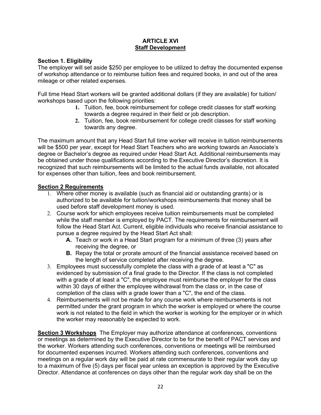# **ARTICLE XVI Staff Development**

# **Section 1. Eligibility**

The employer will set aside \$250 per employee to be utilized to defray the documented expense of workshop attendance or to reimburse tuition fees and required books, in and out of the area mileage or other related expenses.

Full time Head Start workers will be granted additional dollars (if they are available) for tuition/ workshops based upon the following priorities:

- **1.** Tuition, fee, book reimbursement for college credit classes for staff working towards a degree required in their field or job description.
- **2.** Tuition, fee, book reimbursement for college credit classes for staff working towards any degree.

The maximum amount that any Head Start full time worker will receive in tuition reimbursements will be \$500 per year, except for Head Start Teachers who are working towards an Associate's degree or Bachelor's degree as required under Head Start Act. Additional reimbursements may be obtained under those qualifications according to the Executive Director's discretion. It is recognized that such reimbursements will be limited to the actual funds available, not allocated for expenses other than tuition, fees and book reimbursement.

# **Section 2 Requirements**

- 1. Where other money is available (such as financial aid or outstanding grants) or is authorized to be available for tuition/workshops reimbursements that money shall be used before staff development money is used.
- 2. Course work for which employees receive tuition reimbursements must be completed while the staff member is employed by PACT. The requirements for reimbursement will follow the Head Start Act. Current, eligible individuals who receive financial assistance to pursue a degree required by the Head Start Act shall:
	- **A.** Teach or work in a Head Start program for a minimum of three (3) years after receiving the degree, or
	- **B.** Repay the total or prorate amount of the financial assistance received based on the length of service completed after receiving the degree.
- 3. Employees must successfully complete the class with a grade of at least a "C" as evidenced by submission of a final grade to the Director. If the class is not completed with a grade of at least a "C", the employee must reimburse the employer for the class within 30 days of either the employee withdrawal from the class or, in the case of completion of the class with a grade lower than a "C", the end of the class.
- 4. Reimbursements will not be made for any course work where reimbursements is not permitted under the grant program in which the worker is employed or where the course work is not related to the field in which the worker is working for the employer or in which the worker may reasonably be expected to work.

**Section 3 Workshops** The Employer may authorize attendance at conferences, conventions or meetings as determined by the Executive Director to be for the benefit of PACT services and the worker. Workers attending such conferences, conventions or meetings will be reimbursed for documented expenses incurred. Workers attending such conferences, conventions and meetings on a regular work day will be paid at rate commensurate to their regular work day up to a maximum of five (5) days per fiscal year unless an exception is approved by the Executive Director. Attendance at conferences on days other than the regular work day shall be on the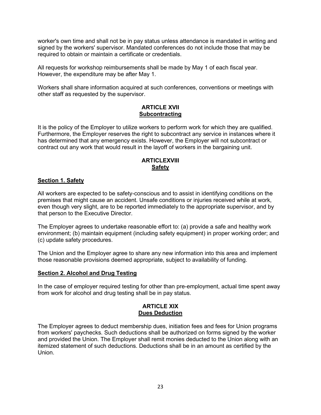worker's own time and shall not be in pay status unless attendance is mandated in writing and signed by the workers' supervisor. Mandated conferences do not include those that may be required to obtain or maintain a certificate or credentials.

All requests for workshop reimbursements shall be made by May 1 of each fiscal year. However, the expenditure may be after May 1.

Workers shall share information acquired at such conferences, conventions or meetings with other staff as requested by the supervisor.

# **ARTICLE XVII Subcontracting**

It is the policy of the Employer to utilize workers to perform work for which they are qualified. Furthermore, the Employer reserves the right to subcontract any service in instances where it has determined that any emergency exists. However, the Employer will not subcontract or contract out any work that would result in the layoff of workers in the bargaining unit.

# **ARTICLEXVIII Safety**

### **Section 1. Safety**

All workers are expected to be safety-conscious and to assist in identifying conditions on the premises that might cause an accident. Unsafe conditions or injuries received while at work, even though very slight, are to be reported immediately to the appropriate supervisor, and by that person to the Executive Director.

The Employer agrees to undertake reasonable effort to: (a) provide a safe and healthy work environment; (b) maintain equipment (including safety equipment) in proper working order; and (c) update safety procedures.

The Union and the Employer agree to share any new information into this area and implement those reasonable provisions deemed appropriate, subject to availability of funding.

### **Section 2. Alcohol and Drug Testing**

In the case of employer required testing for other than pre-employment, actual time spent away from work for alcohol and drug testing shall be in pay status.

#### **ARTICLE XIX Dues Deduction**

The Employer agrees to deduct membership dues, initiation fees and fees for Union programs from workers' paychecks. Such deductions shall be authorized on forms signed by the worker and provided the Union. The Employer shall remit monies deducted to the Union along with an itemized statement of such deductions. Deductions shall be in an amount as certified by the Union.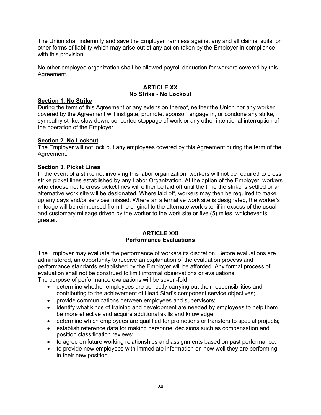The Union shall indemnify and save the Employer harmless against any and all claims, suits, or other forms of liability which may arise out of any action taken by the Employer in compliance with this provision.

No other employee organization shall be allowed payroll deduction for workers covered by this Agreement.

#### **ARTICLE XX No Strike - No Lockout**

#### **Section 1. No Strike**

During the term of this Agreement or any extension thereof, neither the Union nor any worker covered by the Agreement will instigate, promote, sponsor, engage in, or condone any strike, sympathy strike, slow down, concerted stoppage of work or any other intentional interruption of the operation of the Employer.

### **Section 2. No Lockout**

The Employer will not lock out any employees covered by this Agreement during the term of the Agreement.

#### **Section 3. Picket Lines**

In the event of a strike not involving this labor organization, workers will not be required to cross strike picket lines established by any Labor Organization. At the option of the Employer, workers who choose not to cross picket lines will either be laid off until the time the strike is settled or an alternative work site will be designated. Where laid off, workers may then be required to make up any days and/or services missed. Where an alternative work site is designated, the worker's mileage will be reimbursed from the original to the alternate work site, if in excess of the usual and customary mileage driven by the worker to the work site or five (5) miles, whichever is greater.

#### **ARTICLE XXI Performance Evaluations**

The Employer may evaluate the performance of workers its discretion. Before evaluations are administered, an opportunity to receive an explanation of the evaluation process and performance standards established by the Employer will be afforded. Any formal process of evaluation shall not be construed to limit informal observations or evaluations.

The purpose of performance evaluations will be seven-fold:

- determine whether employees are correctly carrying out their responsibilities and contributing to the achievement of Head Start's component service objectives;
- provide communications between employees and supervisors;
- identify what kinds of training and development are needed by employees to help them be more effective and acquire additional skills and knowledge;
- determine which employees are qualified for promotions or transfers to special projects;
- establish reference data for making personnel decisions such as compensation and position classification reviews;
- to agree on future working relationships and assignments based on past performance;
- to provide new employees with immediate information on how well they are performing in their new position.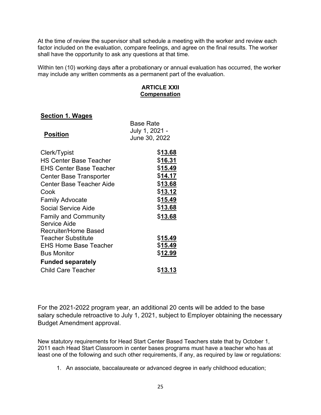At the time of review the supervisor shall schedule a meeting with the worker and review each factor included on the evaluation, compare feelings, and agree on the final results. The worker shall have the opportunity to ask any questions at that time.

Within ten (10) working days after a probationary or annual evaluation has occurred, the worker may include any written comments as a permanent part of the evaluation.

#### **ARTICLE XXII Compensation**

# **Section 1. Wages**

| <b>Base Rate</b><br>July 1, 2021 -<br>June 30, 2022 |
|-----------------------------------------------------|
| \$13.68                                             |
| \$16.31                                             |
| \$15.49                                             |
| <u>\$14.17</u>                                      |
| \$13.68                                             |
| \$13.12                                             |
| \$15.49                                             |
| \$13.68                                             |
| \$13.68                                             |
|                                                     |
|                                                     |
| \$15.49                                             |
| <u> \$15.49</u>                                     |
| \$12.99                                             |
|                                                     |
| <u>\$13.13</u>                                      |
|                                                     |

For the 2021-2022 program year, an additional 20 cents will be added to the base salary schedule retroactive to July 1, 2021, subject to Employer obtaining the necessary Budget Amendment approval.

New statutory requirements for Head Start Center Based Teachers state that by October 1, 2011 each Head Start Classroom in center bases programs must have a teacher who has at least one of the following and such other requirements, if any, as required by law or regulations:

1. An associate, baccalaureate or advanced degree in early childhood education;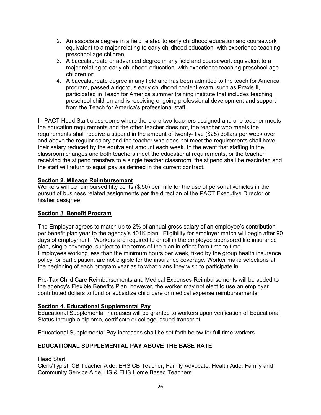- 2. An associate degree in a field related to early childhood education and coursework equivalent to a major relating to early childhood education, with experience teaching preschool age children.
- 3. A baccalaureate or advanced degree in any field and coursework equivalent to a major relating to early childhood education, with experience teaching preschool age children or;
- 4. A baccalaureate degree in any field and has been admitted to the teach for America program, passed a rigorous early childhood content exam, such as Praxis II, participated in Teach for America summer training institute that includes teaching preschool children and is receiving ongoing professional development and support from the Teach for America's professional staff.

In PACT Head Start classrooms where there are two teachers assigned and one teacher meets the education requirements and the other teacher does not, the teacher who meets the requirements shall receive a stipend in the amount of twenty- five (\$25) dollars per week over and above the regular salary and the teacher who does not meet the requirements shall have their salary reduced by the equivalent amount each week. In the event that staffing in the classroom changes and both teachers meet the educational requirements, or the teacher receiving the stipend transfers to a single teacher classroom, the stipend shall be rescinded and the staff will return to equal pay as defined in the current contract.

# **Section 2. Mileage Reimbursement**

Workers will be reimbursed fifty cents (\$.50) per mile for the use of personal vehicles in the pursuit of business related assignments per the direction of the PACT Executive Director or his/her designee.

# **Section** 3. **Benefit Program**

The Employer agrees to match up to 2% of annual gross salary of an employee's contribution per benefit plan year to the agency's 401K plan. Eligibility for employer match will begin after 90 days of employment. Workers are required to enroll in the employee sponsored life insurance plan, single coverage, subject to the terms of the plan in effect from time to time. Employees working less than the minimum hours per week, fixed by the group health insurance policy for participation, are not eligible for the insurance coverage. Worker make selections at the beginning of each program year as to what plans they wish to participate in.

Pre-Tax Child Care Reimbursements and Medical Expenses Reimbursements will be added to the agency's Flexible Benefits Plan, however, the worker may not elect to use an employer contributed dollars to fund or subsidize child care or medical expense reimbursements.

### **Section 4. Educational Supplemental Pay**

Educational Supplemental increases will be granted to workers upon verification of Educational Status through a diploma, certificate or college-issued transcript.

Educational Supplemental Pay increases shall be set forth below for full time workers

# **EDUCATIONAL SUPPLEMENTAL PAY ABOVE THE BASE RATE**

### Head Start

Clerk/Typist, CB Teacher Aide, EHS CB Teacher, Family Advocate, Health Aide, Family and Community Service Aide, HS & EHS Home Based Teachers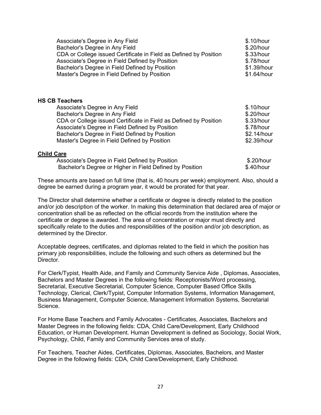| Associate's Degree in Any Field                                   | \$.10/hour  |
|-------------------------------------------------------------------|-------------|
| Bachelor's Degree in Any Field                                    | \$.20/hour  |
| CDA or College issued Certificate in Field as Defined by Position | \$.33/hour  |
| Associate's Degree in Field Defined by Position                   | \$.78/hour  |
| Bachelor's Degree in Field Defined by Position                    | \$1.39/hour |
| Master's Degree in Field Defined by Position                      | \$1.64/hour |

#### **HS CB Teachers**

| Associate's Degree in Any Field                                   | \$.10/hour  |
|-------------------------------------------------------------------|-------------|
| Bachelor's Degree in Any Field                                    | \$.20/hour  |
| CDA or College issued Certificate in Field as Defined by Position | \$.33/hour  |
| Associate's Degree in Field Defined by Position                   | \$.78/hour  |
| Bachelor's Degree in Field Defined by Position                    | \$2.14/hour |
| Master's Degree in Field Defined by Position                      | \$2.39/hour |
|                                                                   |             |

#### **Child Care**

| Associate's Degree in Field Defined by Position          | \$.20/hour |
|----------------------------------------------------------|------------|
| Bachelor's Degree or Higher in Field Defined by Position | \$.40/hour |

These amounts are based on full time (that is, 40 hours per week) employment. Also, should a degree be earned during a program year, it would be prorated for that year.

The Director shall determine whether a certificate or degree is directly related to the position and/or job description of the worker. In making this determination that declared area of major or concentration shall be as reflected on the official records from the institution where the certificate or degree is awarded. The area of concentration or major must directly and specifically relate to the duties and responsibilities of the position and/or job description, as determined by the Director.

Acceptable degrees, certificates, and diplomas related to the field in which the position has primary job responsibilities, include the following and such others as determined but the Director.

For Clerk/Typist, Health Aide, and Family and Community Service Aide , Diplomas, Associates, Bachelors and Master Degrees in the following fields: Receptionists/Word processing, Secretarial, Executive Secretarial, Computer Science, Computer Based Office Skills Technology, Clerical, Clerk/Typist, Computer Information Systems, Information Management, Business Management, Computer Science, Management Information Systems, Secretarial Science.

For Home Base Teachers and Family Advocates - Certificates, Associates, Bachelors and Master Degrees in the following fields: CDA, Child Care/Development, Early Childhood Education, or Human Development. Human Development is defined as Sociology, Social Work, Psychology, Child, Family and Community Services area of study.

For Teachers, Teacher Aides, Certificates, Diplomas, Associates, Bachelors, and Master Degree in the following fields: CDA, Child Care/Development, Early Childhood.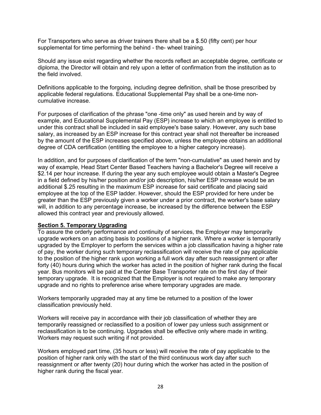For Transporters who serve as driver trainers there shall be a \$.50 (fifty cent) per hour supplemental for time performing the behind - the- wheel training.

Should any issue exist regarding whether the records reflect an acceptable degree, certificate or diploma, the Director will obtain and rely upon a letter of confirmation from the institution as to the field involved.

Definitions applicable to the forgoing, including degree definition, shall be those prescribed by applicable federal regulations. Educational Supplemental Pay shall be a one-time noncumulative increase.

For purposes of clarification of the phrase "one -time only" as used herein and by way of example, and Educational Supplemental Pay (ESP) increase to which an employee is entitled to under this contract shall be included in said employee's base salary. However, any such base salary, as increased by an ESP increase for this contract year shall not thereafter be increased by the amount of the ESP increases specified above, unless the employee obtains an additional degree of CDA certification (entitling the employee to a higher category increase).

In addition, and for purposes of clarification of the term "non-cumulative" as used herein and by way of example, Head Start Center Based Teachers having a Bachelor's Degree will receive a \$2.14 per hour increase. If during the year any such employee would obtain a Master's Degree in a field defined by his/her position and/or job description, his/her ESP increase would be an additional \$.25 resulting in the maximum ESP increase for said certificate and placing said employee at the top of the ESP ladder. However, should the ESP provided for here under be greater than the ESP previously given a worker under a prior contract, the worker's base salary will, in addition to any percentage increase, be increased by the difference between the ESP allowed this contract year and previously allowed.

#### **Section 5. Temporary Upgrading**

To assure the orderly performance and continuity of services, the Employer may temporarily upgrade workers on an acting basis to positions of a higher rank. Where a worker is temporarily upgraded by the Employer to perform the services within a job classification having a higher rate of pay, the worker during such temporary reclassification will receive the rate of pay applicable to the position of the higher rank upon working a full work day after such reassignment or after forty (40) hours during which the worker has acted in the position of higher rank during the fiscal year. Bus monitors will be paid at the Center Base Transporter rate on the first day of their temporary upgrade. It is recognized that the Employer is not required to make any temporary upgrade and no rights to preference arise where temporary upgrades are made.

Workers temporarily upgraded may at any time be returned to a position of the lower classification previously held.

Workers will receive pay in accordance with their job classification of whether they are temporarily reassigned or reclassified to a position of lower pay unless such assignment or reclassification is to be continuing. Upgrades shall be effective only where made in writing. Workers may request such writing if not provided.

Workers employed part time, (35 hours or less) will receive the rate of pay applicable to the position of higher rank only with the start of the third continuous work day after such reassignment or after twenty (20) hour during which the worker has acted in the position of higher rank during the fiscal year.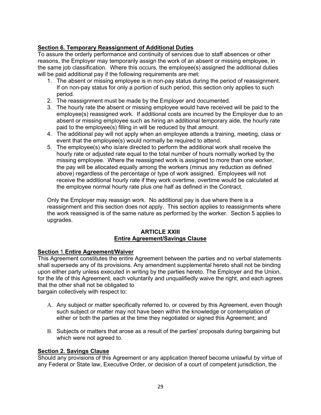# **Section 6. Temporary Reassignment of Additional Duties**

To assure the orderly performance and continuity of services due to staff absences or other reasons, the Employer may temporarily assign the work of an absent or missing employee, in the same iob classification. Where this occurs, the employee(s) assigned the additional duties will be paid additional pay if the following requirements are met:

- 1. The absent or missing employee is in non-pay status during the period of reassignment. If on non-pay status for only a portion of such period, this section only applies to such period.
- 2. The reassignment must be made by the Employer and documented.
- 3. The hourly rate the absent or missing employee would have received will be paid to the employee(s) reassigned work. If additional costs are incurred by the Employer due to an absent or missing employee such as hiring an additional temporary aide, the hourly rate paid to the employee(s) filling in will be reduced by that amount.
- 4. The additional pay will not apply when an employee attends a training, meeting, class or event that the employee(s) would normally be required to attend.
- 5. The employee(s) who is/are directed to perform the additional work shall receive the hourly rate or adjusted rate equal to the total number of hours normally worked by the missing employee. Where the reassigned work is assigned to more than one worker, the pay will be allocated equally among the workers (minus any reduction as defined above) regardless of the percentage or type of work assigned. Employees will not receive the additional hourly rate if they work overtime, overtime would be calculated at the employee normal hourly rate plus one half as defined in the Contract.

Only the Employer may reassign work. No additional pay is due where there is a reassignment and this section does not apply. This section applies to reassignments where the work reassigned is of the same nature as performed by the worker. Section 5 applies to upgrades.

### **ARTICLE XXIII Entire Agreement/Savings Clause**

### **Section** 1. **Entire Agreement/Waiver**

This Agreement constitutes the entire Agreement between the parties and no verbal statements shall supersede any of its provisions. Any amendment supplemental hereto shall not be binding upon either party unless executed in writing by the parties hereto. The Employer and the Union, for the life of this Agreement, each voluntarily and unqualifiedly waive the right, and each agrees that the other shall not be obligated to

bargain collectively with respect to:

- A. Any subject or matter specifically referred to, or covered by this Agreement, even though such subject or matter may not have been within the knowledge or contemplation of either or both the parties at the time they negotiated or signed this Agreement; and
- B. Subjects or matters that arose as a result of the parties' proposals during bargaining but which were not agreed to.

# **Section 2. Savings Clause**

Should any provisions of this Agreement or any application thereof become unlawful by virtue of any Federal or State law, Executive Order, or decision of a court of competent jurisdiction, the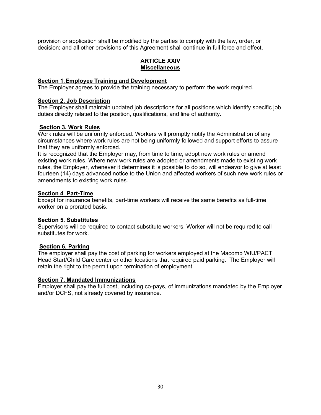provision or application shall be modified by the parties to comply with the law, order, or decision; and all other provisions of this Agreement shall continue in full force and effect.

### **ARTICLE XXIV Miscellaneous**

### **Section 1**. **Employee Training and Development**

The Employer agrees to provide the training necessary to perform the work required.

#### **Section 2. Job Description**

The Employer shall maintain updated job descriptions for all positions which identify specific job duties directly related to the position, qualifications, and line of authority.

#### **Section 3. Work Rules**

Work rules will be uniformly enforced. Workers will promptly notify the Administration of any circumstances where work rules are not being uniformly followed and support efforts to assure that they are uniformly enforced.

It is recognized that the Employer may, from time to time, adopt new work rules or amend existing work rules. Where new work rules are adopted or amendments made to existing work rules, the Employer, whenever it determines it is possible to do so, will endeavor to give at least fourteen (14) days advanced notice to the Union and affected workers of such new work rules or amendments to existing work rules.

#### **Section 4**. **Part-Time**

Except for insurance benefits, part-time workers will receive the same benefits as full-time worker on a prorated basis.

#### **Section 5. Substitutes**

Supervisors will be required to contact substitute workers. Worker will not be required to call substitutes for work.

### **Section 6. Parking**

The employer shall pay the cost of parking for workers employed at the Macomb WIU/PACT Head Start/Child Care center or other locations that required paid parking. The Employer will retain the right to the permit upon termination of employment.

#### **Section 7. Mandated Immunizations**

Employer shall pay the full cost, including co-pays, of immunizations mandated by the Employer and/or DCFS, not already covered by insurance.